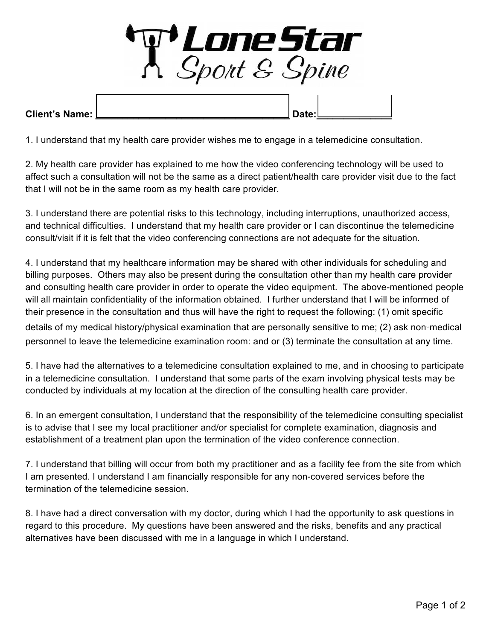

1. I understand that my health care provider wishes me to engage in a telemedicine consultation.

2. My health care provider has explained to me how the video conferencing technology will be used to affect such a consultation will not be the same as a direct patient/health care provider visit due to the fact that I will not be in the same room as my health care provider.

3. I understand there are potential risks to this technology, including interruptions, unauthorized access, and technical difficulties. I understand that my health care provider or I can discontinue the telemedicine consult/visit if it is felt that the video conferencing connections are not adequate for the situation.

personnel to leave the telemedicine examination room: and or (3) terminate the consultation at any time. 4. I understand that my healthcare information may be shared with other individuals for scheduling and billing purposes. Others may also be present during the consultation other than my health care provider and consulting health care provider in order to operate the video equipment. The above-mentioned people will all maintain confidentiality of the information obtained. I further understand that I will be informed of their presence in the consultation and thus will have the right to request the following: (1) omit specific details of my medical history/physical examination that are personally sensitive to me; (2) ask non-medical

5. I have had the alternatives to a telemedicine consultation explained to me, and in choosing to participate in a telemedicine consultation. I understand that some parts of the exam involving physical tests may be conducted by individuals at my location at the direction of the consulting health care provider.

6. In an emergent consultation, I understand that the responsibility of the telemedicine consulting specialist is to advise that I see my local practitioner and/or specialist for complete examination, diagnosis and establishment of a treatment plan upon the termination of the video conference connection.

7. I understand that billing will occur from both my practitioner and as a facility fee from the site from which I am presented. I understand I am financially responsible for any non-covered services before the termination of the telemedicine session.

8. I have had a direct conversation with my doctor, during which I had the opportunity to ask questions in regard to this procedure. My questions have been answered and the risks, benefits and any practical alternatives have been discussed with me in a language in which I understand.